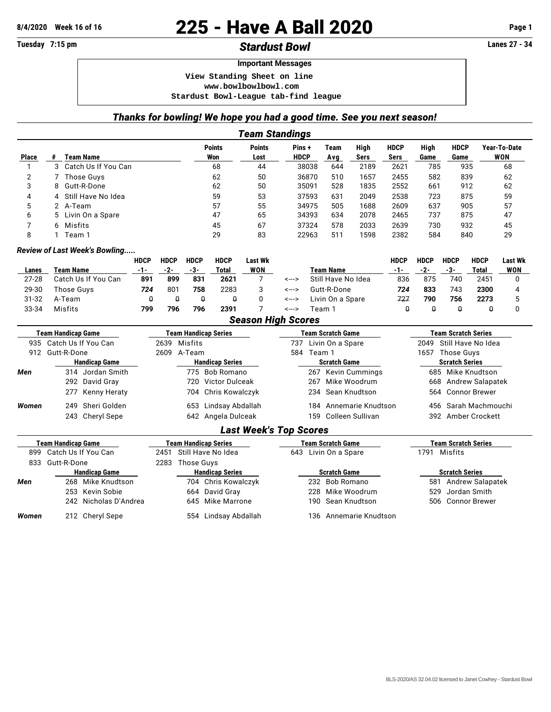## **8/4/2020 Week 16 of 16 225 - Have A Ball 2020 Page 1**

## **Tuesday 7:15 pm** *Stardust Bowl* **Lanes 27 - 34**

## **Important Messages**

 **View Standing Sheet on line**

 **<www.bowlbowlbowl.com>**

 **Stardust Bowl-League tab-find league**

## *Thanks for bowling! We hope you had a good time. See you next season!*

|                           |                                                                    |                               |       |              |                             |                        | <b>Team Standings</b>         |                                    |                          |                  |                            |                            |                                |                                |                      |                     |  |
|---------------------------|--------------------------------------------------------------------|-------------------------------|-------|--------------|-----------------------------|------------------------|-------------------------------|------------------------------------|--------------------------|------------------|----------------------------|----------------------------|--------------------------------|--------------------------------|----------------------|---------------------|--|
| <b>Place</b>              |                                                                    | # Team Name                   |       |              |                             | <b>Points</b><br>Won   | <b>Points</b><br>Lost         | Pins+<br><b>HDCP</b>               |                          | Team<br>Avg      | High<br><b>Sers</b>        | <b>HDCP</b><br><b>Sers</b> | High<br>Game                   | <b>HDCP</b><br>Game            |                      | Year-To-Date<br>WON |  |
| $\mathbf{1}$              | 3 Catch Us If You Can                                              |                               |       |              | 68                          |                        | 44                            | 38038                              |                          | 644              | 2189<br>2621               |                            | 785                            |                                | 935                  | 68                  |  |
| 2                         | <b>Those Guys</b><br>7                                             |                               |       |              | 62                          |                        | 50                            | 36870                              |                          | 510              | 1657<br>2455               |                            | 582                            | 839                            |                      | 62                  |  |
| 3                         | Gutt-R-Done<br>8                                                   |                               |       |              | 62                          |                        | 50                            | 35091                              |                          | 528              | 1835<br>2552               |                            | 661                            | 912                            |                      | 62                  |  |
| 4                         | Still Have No Idea<br>4                                            |                               |       |              | 59                          |                        | 53                            | 37593                              |                          | 631              | 2049<br>2538               |                            | 723                            |                                | 875                  | 59                  |  |
| 5                         | 2 A-Team                                                           |                               |       |              | 57                          |                        | 55                            | 34975                              |                          | 505              | 1688<br>2609               |                            | 637                            | 905                            |                      | 57                  |  |
| 6                         | 5<br>Livin On a Spare                                              |                               |       |              | 47                          |                        | 65                            | 34393                              |                          | 634              | 2078<br>2465               |                            | 737<br>875                     |                                |                      | 47                  |  |
| 7                         | Misfits<br>6                                                       |                               |       |              | 45                          |                        | 67                            | 37324                              |                          | 578              | 2033<br>2639               |                            | 730                            |                                | 932<br>45            |                     |  |
| 8                         | $\mathbf{1}$                                                       | Team 1                        |       |              |                             | 29                     | 83                            | 22963                              |                          | 511              | 1598<br>2382               |                            | 584                            |                                | 840<br>29            |                     |  |
|                           |                                                                    | Review of Last Week's Bowling |       |              |                             |                        |                               |                                    |                          |                  |                            |                            |                                |                                |                      |                     |  |
|                           | <b>HDCP</b>                                                        |                               |       | <b>HDCP</b>  | <b>HDCP</b>                 | <b>HDCP</b>            | <b>Last Wk</b>                |                                    |                          |                  |                            | <b>HDCP</b>                | <b>HDCP</b>                    | <b>HDCP</b>                    | <b>HDCP</b>          | <b>Last Wk</b>      |  |
| Lanes                     |                                                                    | <b>Team Name</b>              | $-1-$ | $-2-$        | $-3-$                       | <b>Total</b>           | <b>WON</b>                    |                                    |                          | <b>Team Name</b> |                            | $-1-$                      | $-2-$                          | $-3-$                          | <b>Total</b>         | <b>WON</b>          |  |
| $27 - 28$                 |                                                                    | Catch Us If You Can           | 891   | 899          | 831                         | 2621                   | 7                             | Still Have No Idea<br>$\leftarrow$ |                          | 836              | 875                        | 740                        | 2451                           | 0                              |                      |                     |  |
| 29-30                     |                                                                    | Those Guys                    | 724   | 801          | 758                         | 2283                   | 3                             | Gutt-R-Done<br><--->               |                          | 724              | 833                        | 743                        | 2300                           | 4                              |                      |                     |  |
| 31-32                     |                                                                    | A-Team                        |       | $\theta$     | $\theta$                    | $\theta$               | 0                             | <--->                              | Livin On a Spare         |                  |                            | 727                        | 790                            | 756                            | 2273                 | 5                   |  |
| 33-34                     |                                                                    | Misfits                       | 799   | 796          | 796                         | 2391                   | 7                             | <--->                              |                          | Team 1           |                            | $\theta$                   | $\theta$                       | $\theta$                       | $\theta$             | $\mathbf 0$         |  |
|                           |                                                                    |                               |       |              |                             |                        | <b>Season High Scores</b>     |                                    |                          |                  |                            |                            |                                |                                |                      |                     |  |
| <b>Team Handicap Game</b> |                                                                    |                               |       |              | <b>Team Handicap Series</b> |                        |                               |                                    | <b>Team Scratch Game</b> |                  | <b>Team Scratch Series</b> |                            |                                |                                |                      |                     |  |
|                           | 935 Catch Us If You Can<br>912 Gutt-R-Done<br><b>Handicap Game</b> |                               |       | 2639 Misfits |                             |                        |                               |                                    | Livin On a Spare<br>737  |                  |                            |                            |                                | 2049 Still Have No Idea        |                      |                     |  |
|                           |                                                                    |                               |       | 2609 A-Team  |                             | 584 Team 1             |                               |                                    |                          |                  | <b>Those Guys</b><br>1657  |                            |                                |                                |                      |                     |  |
|                           |                                                                    |                               |       |              | <b>Handicap Series</b>      | <b>Scratch Game</b>    |                               |                                    |                          |                  | <b>Scratch Series</b>      |                            |                                |                                |                      |                     |  |
| Men                       | 314 Jordan Smith                                                   |                               |       |              |                             | 775 Bob Romano         |                               | 267 Kevin Cummings                 |                          |                  |                            | 685 Mike Knudtson          |                                |                                |                      |                     |  |
|                           | 292 David Gray                                                     |                               |       |              | Victor Dulceak<br>720       |                        |                               | Mike Woodrum<br>267                |                          |                  |                            |                            | <b>Andrew Salapatek</b><br>668 |                                |                      |                     |  |
|                           |                                                                    | Kenny Heraty<br>277           |       |              | 704                         | Chris Kowalczyk        |                               |                                    | 234                      |                  | Sean Knudtson              |                            | 564                            |                                | <b>Connor Brewer</b> |                     |  |
| Women                     | Sheri Golden<br>249                                                |                               |       |              | Lindsay Abdallah<br>653     |                        |                               | 184 Annemarie Knudtson             |                          |                  |                            |                            | 456 Sarah Machmouchi           |                                |                      |                     |  |
|                           | 243 Cheryl Sepe                                                    |                               |       |              |                             | 642 Angela Dulceak     |                               | 159 Colleen Sullivan               |                          |                  |                            |                            | 392 Amber Crockett             |                                |                      |                     |  |
|                           |                                                                    |                               |       |              |                             |                        | <b>Last Week's Top Scores</b> |                                    |                          |                  |                            |                            |                                |                                |                      |                     |  |
|                           | <b>Team Handicap Game</b>                                          |                               |       |              | <b>Team Handicap Series</b> |                        |                               |                                    | <b>Team Scratch Game</b> |                  |                            |                            |                                | <b>Team Scratch Series</b>     |                      |                     |  |
| 899                       | Catch Us If You Can                                                |                               |       | 2451         | Still Have No Idea          |                        |                               | Livin On a Spare<br>643            |                          |                  |                            |                            | 1791                           | Misfits                        |                      |                     |  |
| 833                       | Gutt-R-Done                                                        |                               |       |              | 2283 Those Guys             |                        |                               |                                    |                          |                  |                            |                            |                                |                                |                      |                     |  |
|                           | <b>Handicap Game</b>                                               |                               |       |              |                             | <b>Handicap Series</b> |                               |                                    | <b>Scratch Game</b>      |                  |                            |                            |                                | <b>Scratch Series</b>          |                      |                     |  |
| Men                       | 268 Mike Knudtson                                                  |                               |       |              |                             | 704 Chris Kowalczyk    |                               |                                    | 232 Bob Romano           |                  |                            |                            |                                | <b>Andrew Salapatek</b><br>581 |                      |                     |  |
|                           | 253 Kevin Sobie                                                    |                               |       |              | David Gray<br>664           |                        |                               |                                    | Mike Woodrum<br>228      |                  |                            |                            | Jordan Smith<br>529            |                                |                      |                     |  |
|                           |                                                                    | Nicholas D'Andrea<br>242      |       |              | 645                         | Mike Marrone           |                               |                                    | 190                      |                  | Sean Knudtson              |                            | 506                            |                                | <b>Connor Brewer</b> |                     |  |
| Women                     |                                                                    | 212 Cheryl Sepe               |       |              |                             | 554 Lindsay Abdallah   |                               |                                    |                          |                  | 136 Annemarie Knudtson     |                            |                                |                                |                      |                     |  |